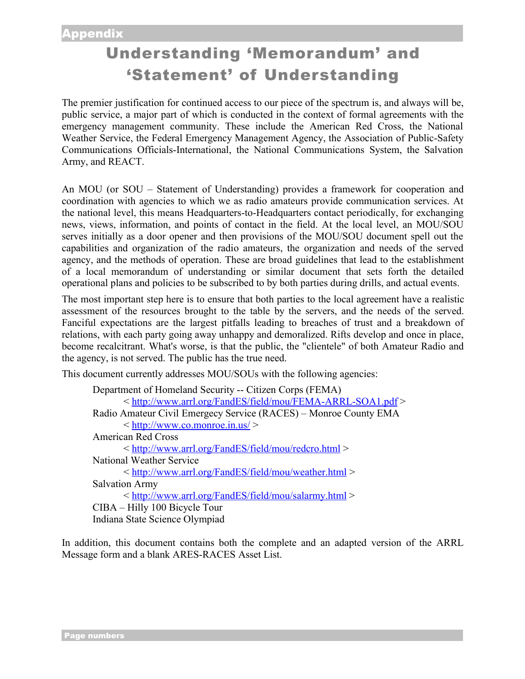# Understanding 'Memorandum' and 'Statement' of Understanding

The premier justification for continued access to our piece of the spectrum is, and always will be, public service, a major part of which is conducted in the context of formal agreements with the emergency management community. These include the American Red Cross, the National Weather Service, the Federal Emergency Management Agency, the Association of Public-Safety Communications Officials-International, the National Communications System, the Salvation Army, and REACT.

An MOU (or SOU – Statement of Understanding) provides a framework for cooperation and coordination with agencies to which we as radio amateurs provide communication services. At the national level, this means Headquarters-to-Headquarters contact periodically, for exchanging news, views, information, and points of contact in the field. At the local level, an MOU/SOU serves initially as a door opener and then provisions of the MOU/SOU document spell out the capabilities and organization of the radio amateurs, the organization and needs of the served agency, and the methods of operation. These are broad guidelines that lead to the establishment of a local memorandum of understanding or similar document that sets forth the detailed operational plans and policies to be subscribed to by both parties during drills, and actual events.

The most important step here is to ensure that both parties to the local agreement have a realistic assessment of the resources brought to the table by the servers, and the needs of the served. Fanciful expectations are the largest pitfalls leading to breaches of trust and a breakdown of relations, with each party going away unhappy and demoralized. Rifts develop and once in place, become recalcitrant. What's worse, is that the public, the "clientele" of both Amateur Radio and the agency, is not served. The public has the true need.

This document currently addresses MOU/SOUs with the following agencies:

```
Department of Homeland Security -- Citizen Corps (FEMA)
         < http://www.arrl.org/FandES/field/mou/FEMA-ARRL-SOA1.pdf >
Radio Amateur Civil Emergecy Service (RACES) – Monroe County EMA
         \langle h_{\text{t}}(t) \rangle = \langle h_{\text{t}}(t) \rangle = \left(\times\) \right) \right) \right) \right) \right) \right) \right) \right) \right) \right) \right) \right) \right) \right) \right) \right) \right) \right) \right) \right) \right) \rig
American Red Cross
         < http://www.arrl.org/FandES/field/mou/redcro.html >
National Weather Service
         < http://www.arrl.org/FandES/field/mou/weather.html >
Salvation Army
         < http://www.arrl.org/FandES/field/mou/salarmy.html >
CIBA – Hilly 100 Bicycle Tour
Indiana State Science Olympiad
```
In addition, this document contains both the complete and an adapted version of the ARRL Message form and a blank ARES-RACES Asset List.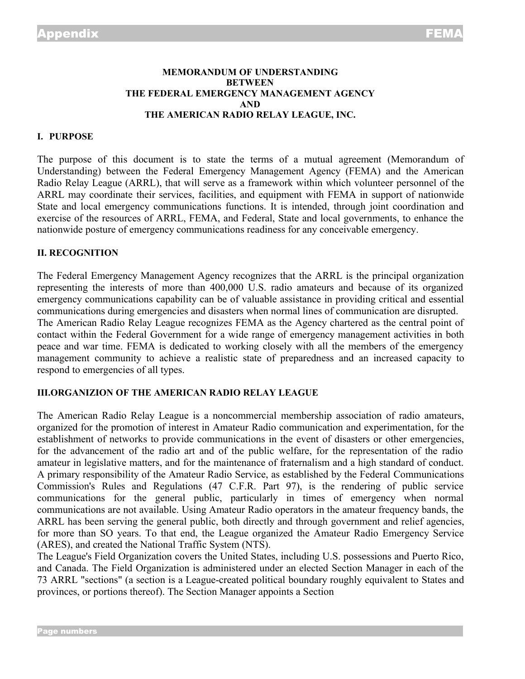## **MEMORANDUM OF UNDERSTANDING BETWEEN THE FEDERAL EMERGENCY MANAGEMENT AGENCY AND THE AMERICAN RADIO RELAY LEAGUE, INC.**

## **I. PURPOSE**

The purpose of this document is to state the terms of a mutual agreement (Memorandum of Understanding) between the Federal Emergency Management Agency (FEMA) and the American Radio Relay League (ARRL), that will serve as a framework within which volunteer personnel of the ARRL may coordinate their services, facilities, and equipment with FEMA in support of nationwide State and local emergency communications functions. It is intended, through joint coordination and exercise of the resources of ARRL, FEMA, and Federal, State and local governments, to enhance the nationwide posture of emergency communications readiness for any conceivable emergency.

#### **II. RECOGNITION**

The Federal Emergency Management Agency recognizes that the ARRL is the principal organization representing the interests of more than 400,000 U.S. radio amateurs and because of its organized emergency communications capability can be of valuable assistance in providing critical and essential communications during emergencies and disasters when normal lines of communication are disrupted. The American Radio Relay League recognizes FEMA as the Agency chartered as the central point of contact within the Federal Government for a wide range of emergency management activities in both peace and war time. FEMA is dedicated to working closely with all the members of the emergency management community to achieve a realistic state of preparedness and an increased capacity to respond to emergencies of all types.

#### **III.ORGANIZION OF THE AMERICAN RADIO RELAY LEAGUE**

The American Radio Relay League is a noncommercial membership association of radio amateurs, organized for the promotion of interest in Amateur Radio communication and experimentation, for the establishment of networks to provide communications in the event of disasters or other emergencies, for the advancement of the radio art and of the public welfare, for the representation of the radio amateur in legislative matters, and for the maintenance of fraternalism and a high standard of conduct. A primary responsibility of the Amateur Radio Service, as established by the Federal Communications Commission's Rules and Regulations (47 C.F.R. Part 97), is the rendering of public service communications for the general public, particularly in times of emergency when normal communications are not available. Using Amateur Radio operators in the amateur frequency bands, the ARRL has been serving the general public, both directly and through government and relief agencies, for more than SO years. To that end, the League organized the Amateur Radio Emergency Service (ARES), and created the National Traffic System (NTS).

The League's Field Organization covers the United States, including U.S. possessions and Puerto Rico, and Canada. The Field Organization is administered under an elected Section Manager in each of the 73 ARRL "sections" (a section is a League-created political boundary roughly equivalent to States and provinces, or portions thereof). The Section Manager appoints a Section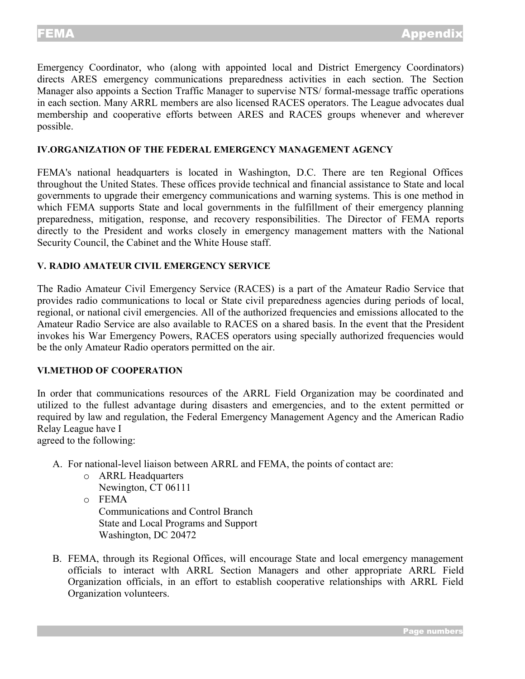Emergency Coordinator, who (along with appointed local and District Emergency Coordinators) directs ARES emergency communications preparedness activities in each section. The Section Manager also appoints a Section Traffic Manager to supervise NTS/ formal-message traffic operations in each section. Many ARRL members are also licensed RACES operators. The League advocates dual membership and cooperative efforts between ARES and RACES groups whenever and wherever possible.

## **IV.ORGANIZATION OF THE FEDERAL EMERGENCY MANAGEMENT AGENCY**

FEMA's national headquarters is located in Washington, D.C. There are ten Regional Offices throughout the United States. These offices provide technical and financial assistance to State and local governments to upgrade their emergency communications and warning systems. This is one method in which FEMA supports State and local governments in the fulfillment of their emergency planning preparedness, mitigation, response, and recovery responsibilities. The Director of FEMA reports directly to the President and works closely in emergency management matters with the National Security Council, the Cabinet and the White House staff.

## **V. RADIO AMATEUR CIVIL EMERGENCY SERVICE**

The Radio Amateur Civil Emergency Service (RACES) is a part of the Amateur Radio Service that provides radio communications to local or State civil preparedness agencies during periods of local, regional, or national civil emergencies. All of the authorized frequencies and emissions allocated to the Amateur Radio Service are also available to RACES on a shared basis. In the event that the President invokes his War Emergency Powers, RACES operators using specially authorized frequencies would be the only Amateur Radio operators permitted on the air.

#### **VI.METHOD OF COOPERATION**

In order that communications resources of the ARRL Field Organization may be coordinated and utilized to the fullest advantage during disasters and emergencies, and to the extent permitted or required by law and regulation, the Federal Emergency Management Agency and the American Radio Relay League have I

agreed to the following:

- A. For national-level liaison between ARRL and FEMA, the points of contact are:
	- o ARRL Headquarters
		- Newington, CT 06111
	- o FEMA

Communications and Control Branch State and Local Programs and Support Washington, DC 20472

B. FEMA, through its Regional Offices, will encourage State and local emergency management officials to interact wlth ARRL Section Managers and other appropriate ARRL Field Organization officials, in an effort to establish cooperative relationships with ARRL Field Organization volunteers.